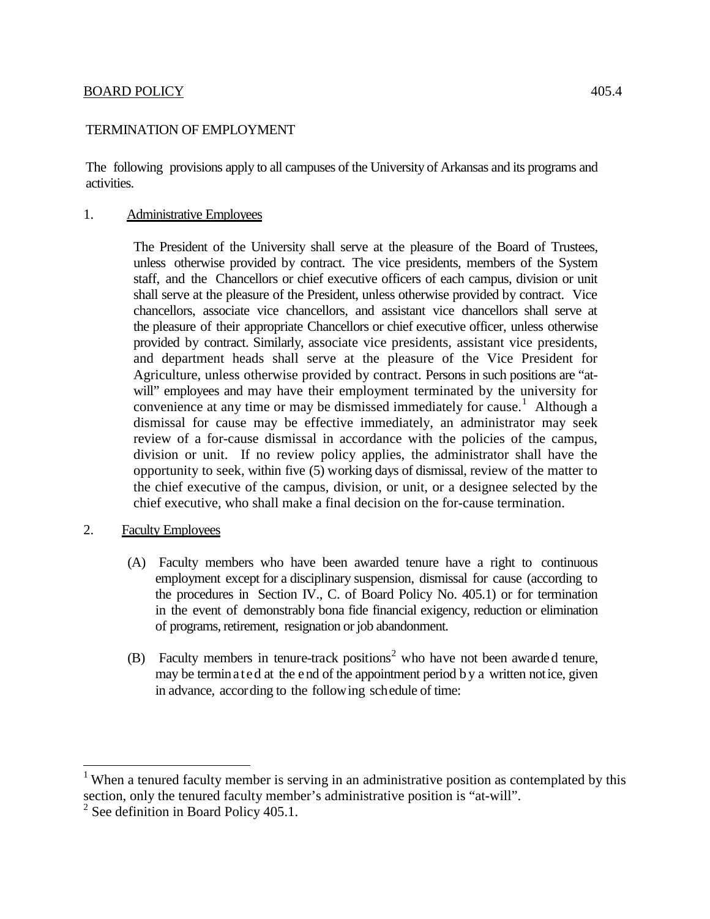# BOARD POLICY 405.4

# TERMINATION OF EMPLOYMENT

The following provisions apply to all campuses of the University of Arkansas and its programs and activities.

#### 1. Administrative Employees

The President of the University shall serve at the pleasure of the Board of Trustees, unless otherwise provided by contract. The vice presidents, members of the System staff, and the Chancellors or chief executive officers of each campus, division or unit shall serve at the pleasure of the President, unless otherwise provided by contract. Vice chancellors, associate vice chancellors, and assistant vice chancellors shall serve at the pleasure of their appropriate Chancellors or chief executive officer, unless otherwise provided by contract. Similarly, associate vice presidents, assistant vice presidents, and department heads shall serve at the pleasure of the Vice President for Agriculture, unless otherwise provided by contract. Persons in such positions are "atwill" employees and may have their employment terminated by the university for convenience at any time or may be dismissed immediately for cause. [1](#page-0-0) Although a dismissal for cause may be effective immediately, an administrator may seek review of a for-cause dismissal in accordance with the policies of the campus, division or unit. If no review policy applies, the administrator shall have the opportunity to seek, within five (5) working days of dismissal, review of the matter to the chief executive of the campus, division, or unit, or a designee selected by the chief executive, who shall make a final decision on the for-cause termination.

- 2. Faculty Employees
	- (A) Faculty members who have been awarded tenure have a right to continuous employment except for a disciplinary suspension, dismissal for cause (according to the procedures in Section IV., C. of Board Policy No. 405.1) or for termination in the event of demonstrably bona fide financial exigency, reduction or elimination of programs, retirement, resignation or job abandonment.
	- (B) Faculty members in tenure-track positions<sup>[2](#page-0-1)</sup> who have not been awarded tenure, may be terminated at the end of the appointment period b y a written notice, given in advance, according to the following schedule of time:

<span id="page-0-0"></span><sup>&</sup>lt;sup>1</sup> When a tenured faculty member is serving in an administrative position as contemplated by this section, only the tenured faculty member's administrative position is "at-will".

<span id="page-0-1"></span> $2$  See definition in Board Policy 405.1.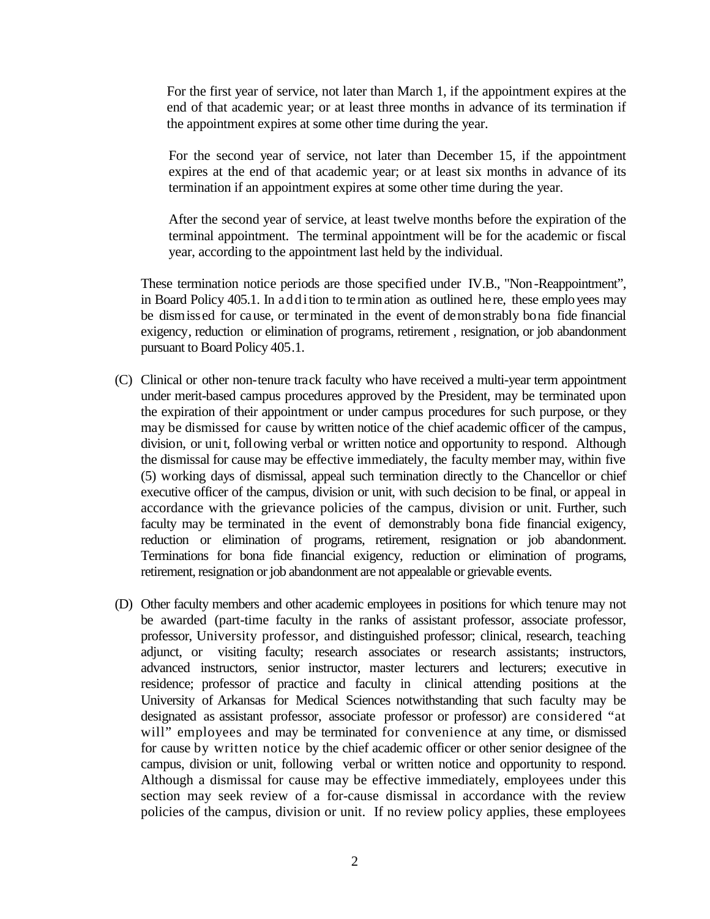For the first year of service, not later than March 1, if the appointment expires at the end of that academic year; or at least three months in advance of its termination if the appointment expires at some other time during the year.

For the second year of service, not later than December 15, if the appointment expires at the end of that academic year; or at least six months in advance of its termination if an appointment expires at some other time during the year.

After the second year of service, at least twelve months before the expiration of the terminal appointment. The terminal appointment will be for the academic or fiscal year, according to the appointment last held by the individual.

These termination notice periods are those specified under IV.B., "Non-Reappointment", in Board Policy 405.1. In addition to te rmination as outlined he re, these employees may be dismissed for cause, or terminated in the event of demonstrably bona fide financial exigency, reduction or elimination of programs, retirement , resignation, or job abandonment pursuant to Board Policy 405.1.

- (C) Clinical or other non-tenure track faculty who have received a multi-year term appointment under merit-based campus procedures approved by the President, may be terminated upon the expiration of their appointment or under campus procedures for such purpose, or they may be dismissed for cause by written notice of the chief academic officer of the campus, division, or unit, following verbal or written notice and opportunity to respond. Although the dismissal for cause may be effective immediately, the faculty member may, within five (5) working days of dismissal, appeal such termination directly to the Chancellor or chief executive officer of the campus, division or unit, with such decision to be final, or appeal in accordance with the grievance policies of the campus, division or unit. Further, such faculty may be terminated in the event of demonstrably bona fide financial exigency, reduction or elimination of programs, retirement, resignation or job abandonment. Terminations for bona fide financial exigency, reduction or elimination of programs, retirement, resignation or job abandonment are not appealable or grievable events.
- (D) Other faculty members and other academic employees in positions for which tenure may not be awarded (part-time faculty in the ranks of assistant professor, associate professor, professor, University professor, and distinguished professor; clinical, research, teaching adjunct, or visiting faculty; research associates or research assistants; instructors, advanced instructors, senior instructor, master lecturers and lecturers; executive in residence; professor of practice and faculty in clinical attending positions at the University of Arkansas for Medical Sciences notwithstanding that such faculty may be designated as assistant professor, associate professor or professor) are considered "at will" employees and may be terminated for convenience at any time, or dismissed for cause by written notice by the chief academic officer or other senior designee of the campus, division or unit, following verbal or written notice and opportunity to respond. Although a dismissal for cause may be effective immediately, employees under this section may seek review of a for-cause dismissal in accordance with the review policies of the campus, division or unit. If no review policy applies, these employees